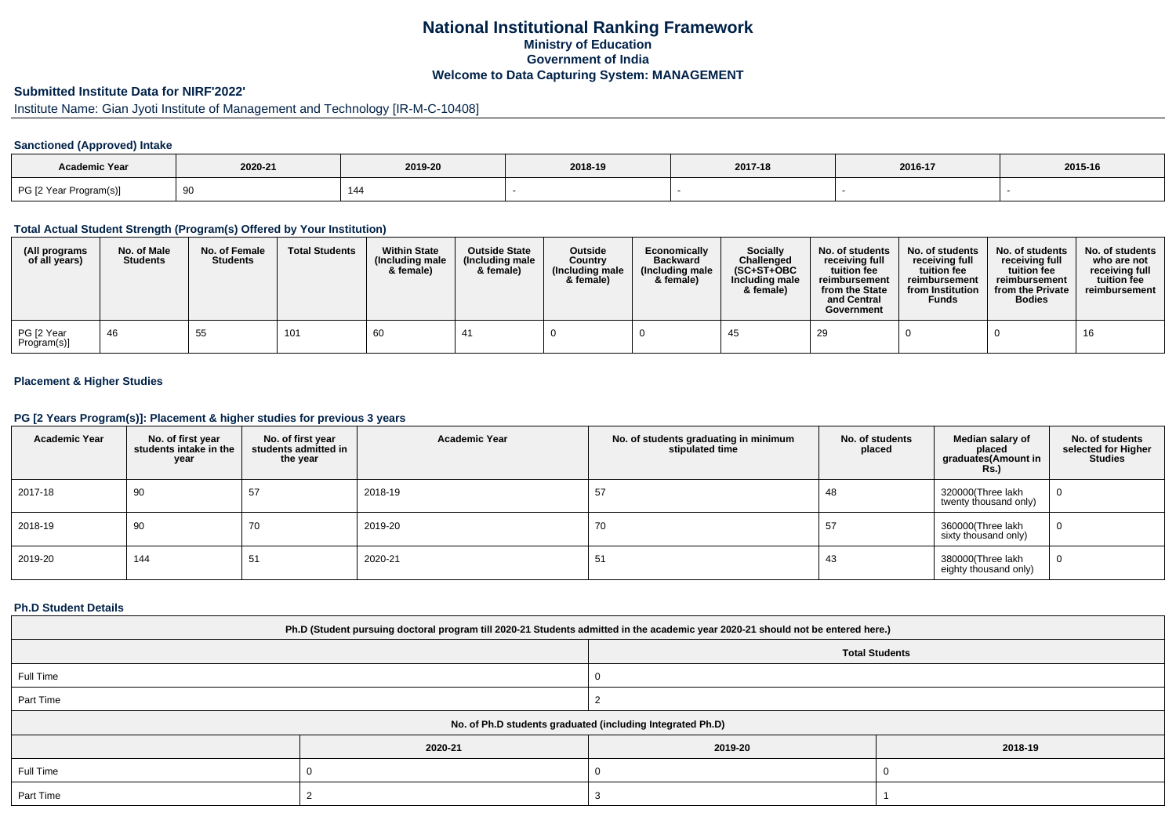## **National Institutional Ranking FrameworkMinistry of Education Government of IndiaWelcome to Data Capturing System: MANAGEMENT**

# **Submitted Institute Data for NIRF'2022'**

# Institute Name: Gian Jyoti Institute of Management and Technology [IR-M-C-10408]

## **Sanctioned (Approved) Intake**

| Academic Year          |         |         |         |         |         |         |
|------------------------|---------|---------|---------|---------|---------|---------|
|                        | 2020-21 | 2019-20 | 2018-19 | 2017-18 | 2016-17 | 2015-16 |
| PG [2 Year Program(s)] |         | 144     |         |         |         |         |

#### **Total Actual Student Strength (Program(s) Offered by Your Institution)**

| (All programs<br>of all years) | No. of Male<br><b>Students</b> | No. of Female<br><b>Students</b> | <b>Total Students</b> | <b>Within State</b><br>(Including male<br>& female) | <b>Outside State</b><br>(Including male<br>& female) | Outside<br>Country<br>(Including male<br>& female) | Economically<br><b>Backward</b><br>(Including male<br>& female) | <b>Socially</b><br>Challenged<br>$(SC+ST+OBC$<br>Including male<br>& female) | No. of students<br>receivina full<br>tuition fee<br>reimbursement<br>from the State<br>and Central<br>Government | No. of students<br>receiving full<br>tuition fee<br>reimbursement<br>from Institution<br><b>Funds</b> | No. of students<br>receiving full<br>tuition fee<br>reimbursement<br>from the Private<br><b>Bodies</b> | No. of students  <br>who are not<br>receivina full<br>tuition fee<br>reimbursement |
|--------------------------------|--------------------------------|----------------------------------|-----------------------|-----------------------------------------------------|------------------------------------------------------|----------------------------------------------------|-----------------------------------------------------------------|------------------------------------------------------------------------------|------------------------------------------------------------------------------------------------------------------|-------------------------------------------------------------------------------------------------------|--------------------------------------------------------------------------------------------------------|------------------------------------------------------------------------------------|
| PG [2 Year<br>Program(s)]      | -46                            | 55                               | 101                   | 60                                                  |                                                      |                                                    |                                                                 |                                                                              | 29                                                                                                               |                                                                                                       |                                                                                                        |                                                                                    |

## **Placement & Higher Studies**

#### **PG [2 Years Program(s)]: Placement & higher studies for previous 3 years**

| <b>Academic Year</b> | No. of first year<br>students intake in the<br>year | No. of first vear<br>students admitted in<br>the year | <b>Academic Year</b> | No. of students graduating in minimum<br>stipulated time | No. of students<br>placed | Median salary of<br>placed<br>graduates(Amount in<br><b>Rs.)</b> | No. of students<br>selected for Higher<br><b>Studies</b> |
|----------------------|-----------------------------------------------------|-------------------------------------------------------|----------------------|----------------------------------------------------------|---------------------------|------------------------------------------------------------------|----------------------------------------------------------|
| 2017-18              | 90                                                  | 57                                                    | 2018-19              | 57                                                       | 48                        | 320000(Three lakh<br>twenty thousand only)                       | $\mathbf{0}$                                             |
| 2018-19              | 90                                                  | 70                                                    | 2019-20              | 70                                                       | 57                        | 360000(Three lakh<br>sixty thousand only)                        | 0                                                        |
| 2019-20              | 144                                                 | 51                                                    | 2020-21              | 51                                                       | 43                        | 380000(Three lakh<br>eighty thousand only)                       | $\mathbf{0}$                                             |

#### **Ph.D Student Details**

| Ph.D (Student pursuing doctoral program till 2020-21 Students admitted in the academic year 2020-21 should not be entered here.) |         |                       |         |  |  |  |
|----------------------------------------------------------------------------------------------------------------------------------|---------|-----------------------|---------|--|--|--|
|                                                                                                                                  |         | <b>Total Students</b> |         |  |  |  |
| Full Time                                                                                                                        |         |                       |         |  |  |  |
| Part Time                                                                                                                        |         |                       |         |  |  |  |
| No. of Ph.D students graduated (including Integrated Ph.D)                                                                       |         |                       |         |  |  |  |
|                                                                                                                                  | 2020-21 | 2019-20               | 2018-19 |  |  |  |
| Full Time                                                                                                                        |         |                       |         |  |  |  |
| Part Time                                                                                                                        |         |                       |         |  |  |  |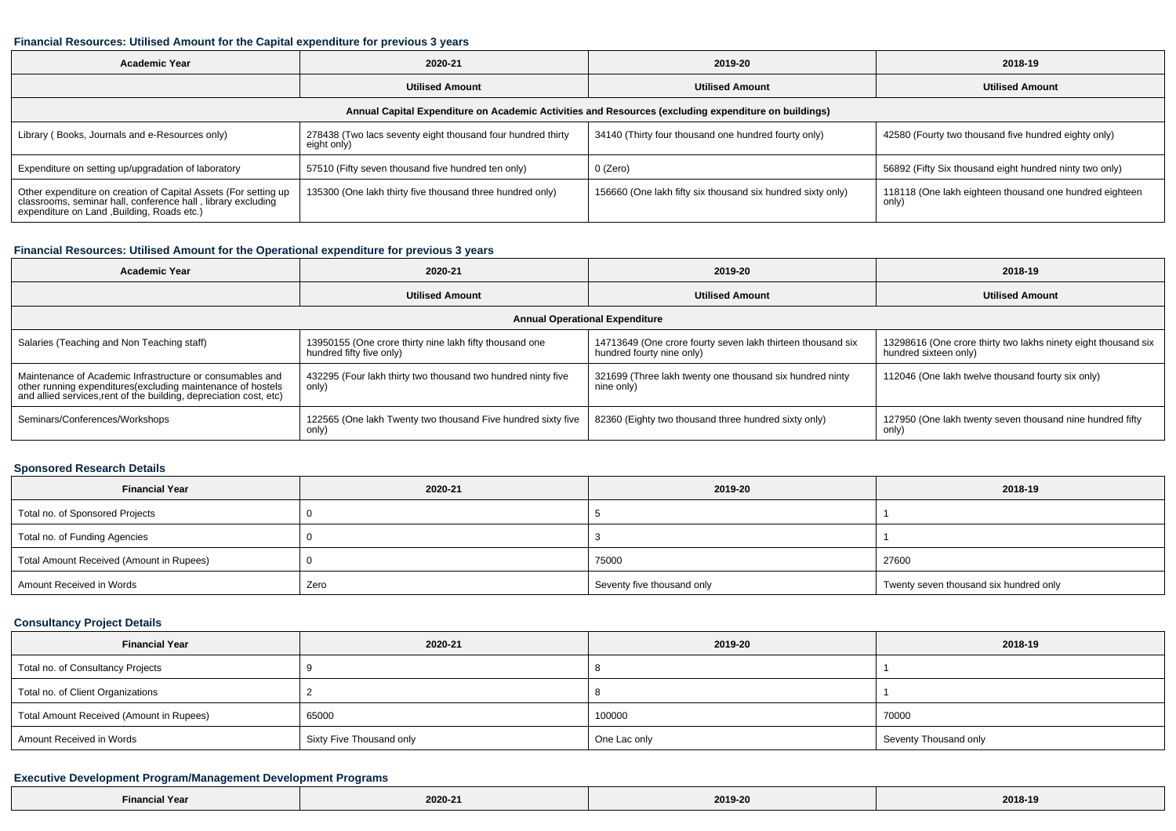#### **Financial Resources: Utilised Amount for the Capital expenditure for previous 3 years**

| <b>Academic Year</b>                                                                                                                                                           | 2020-21                                                                    | 2019-20                                                     | 2018-19                                                          |  |  |  |  |  |  |
|--------------------------------------------------------------------------------------------------------------------------------------------------------------------------------|----------------------------------------------------------------------------|-------------------------------------------------------------|------------------------------------------------------------------|--|--|--|--|--|--|
|                                                                                                                                                                                | <b>Utilised Amount</b>                                                     | <b>Utilised Amount</b>                                      | <b>Utilised Amount</b>                                           |  |  |  |  |  |  |
| Annual Capital Expenditure on Academic Activities and Resources (excluding expenditure on buildings)                                                                           |                                                                            |                                                             |                                                                  |  |  |  |  |  |  |
| Library (Books, Journals and e-Resources only)                                                                                                                                 | 278438 (Two lacs seventy eight thousand four hundred thirty<br>eight only) | 34140 (Thirty four thousand one hundred fourty only)        | 42580 (Fourty two thousand five hundred eighty only)             |  |  |  |  |  |  |
| Expenditure on setting up/upgradation of laboratory                                                                                                                            | 57510 (Fifty seven thousand five hundred ten only)                         | 0 (Zero)                                                    | 56892 (Fifty Six thousand eight hundred ninty two only)          |  |  |  |  |  |  |
| Other expenditure on creation of Capital Assets (For setting up<br>classrooms, seminar hall, conference hall, library excluding<br>expenditure on Land , Building, Roads etc.) | 135300 (One lakh thirty five thousand three hundred only)                  | 156660 (One lakh fifty six thousand six hundred sixty only) | 118118 (One lakh eighteen thousand one hundred eighteen<br>only) |  |  |  |  |  |  |

## **Financial Resources: Utilised Amount for the Operational expenditure for previous 3 years**

| <b>Academic Year</b>                                                                                                                                                                           | 2020-21                                                                             | 2019-20                                                                                  | 2018-19                                                                                 |  |  |  |  |  |
|------------------------------------------------------------------------------------------------------------------------------------------------------------------------------------------------|-------------------------------------------------------------------------------------|------------------------------------------------------------------------------------------|-----------------------------------------------------------------------------------------|--|--|--|--|--|
|                                                                                                                                                                                                | <b>Utilised Amount</b>                                                              | <b>Utilised Amount</b>                                                                   | <b>Utilised Amount</b>                                                                  |  |  |  |  |  |
| <b>Annual Operational Expenditure</b>                                                                                                                                                          |                                                                                     |                                                                                          |                                                                                         |  |  |  |  |  |
| Salaries (Teaching and Non Teaching staff)                                                                                                                                                     | 13950155 (One crore thirty nine lakh fifty thousand one<br>hundred fifty five only) | 14713649 (One crore fourty seven lakh thirteen thousand six<br>hundred fourty nine only) | 13298616 (One crore thirty two lakhs ninety eight thousand six<br>hundred sixteen only) |  |  |  |  |  |
| Maintenance of Academic Infrastructure or consumables and<br>other running expenditures(excluding maintenance of hostels<br>and allied services, rent of the building, depreciation cost, etc) | 432295 (Four lakh thirty two thousand two hundred ninty five<br>only)               | 321699 (Three lakh twenty one thousand six hundred ninty<br>nine only)                   | 112046 (One lakh twelve thousand fourty six only)                                       |  |  |  |  |  |
| Seminars/Conferences/Workshops                                                                                                                                                                 | 122565 (One lakh Twenty two thousand Five hundred sixty five<br>only)               | 82360 (Eighty two thousand three hundred sixty only)                                     | 127950 (One lakh twenty seven thousand nine hundred fifty<br>only)                      |  |  |  |  |  |

## **Sponsored Research Details**

| <b>Financial Year</b>                    | 2020-21 | 2019-20                    | 2018-19                                |
|------------------------------------------|---------|----------------------------|----------------------------------------|
| Total no. of Sponsored Projects          |         |                            |                                        |
| Total no. of Funding Agencies            |         |                            |                                        |
| Total Amount Received (Amount in Rupees) |         | 75000                      | 27600                                  |
| Amount Received in Words                 | Zero    | Seventy five thousand only | Twenty seven thousand six hundred only |

## **Consultancy Project Details**

| <b>Financial Year</b>                    | 2020-21                  | 2019-20      | 2018-19               |
|------------------------------------------|--------------------------|--------------|-----------------------|
| Total no. of Consultancy Projects        |                          |              |                       |
| Total no. of Client Organizations        |                          |              |                       |
| Total Amount Received (Amount in Rupees) | 65000                    |              | 70000                 |
| Amount Received in Words                 | Sixty Five Thousand only | One Lac only | Seventy Thousand only |

## **Executive Development Program/Management Development Programs**

| $-$<br><b>Financial Year</b><br>$\sim$ $\sim$ $\sim$ $\sim$ $\sim$ | 0.0000<br>-020-27<br>the contract of the contract of the | 2019-20<br>. | 2018-19 |
|--------------------------------------------------------------------|----------------------------------------------------------|--------------|---------|
|--------------------------------------------------------------------|----------------------------------------------------------|--------------|---------|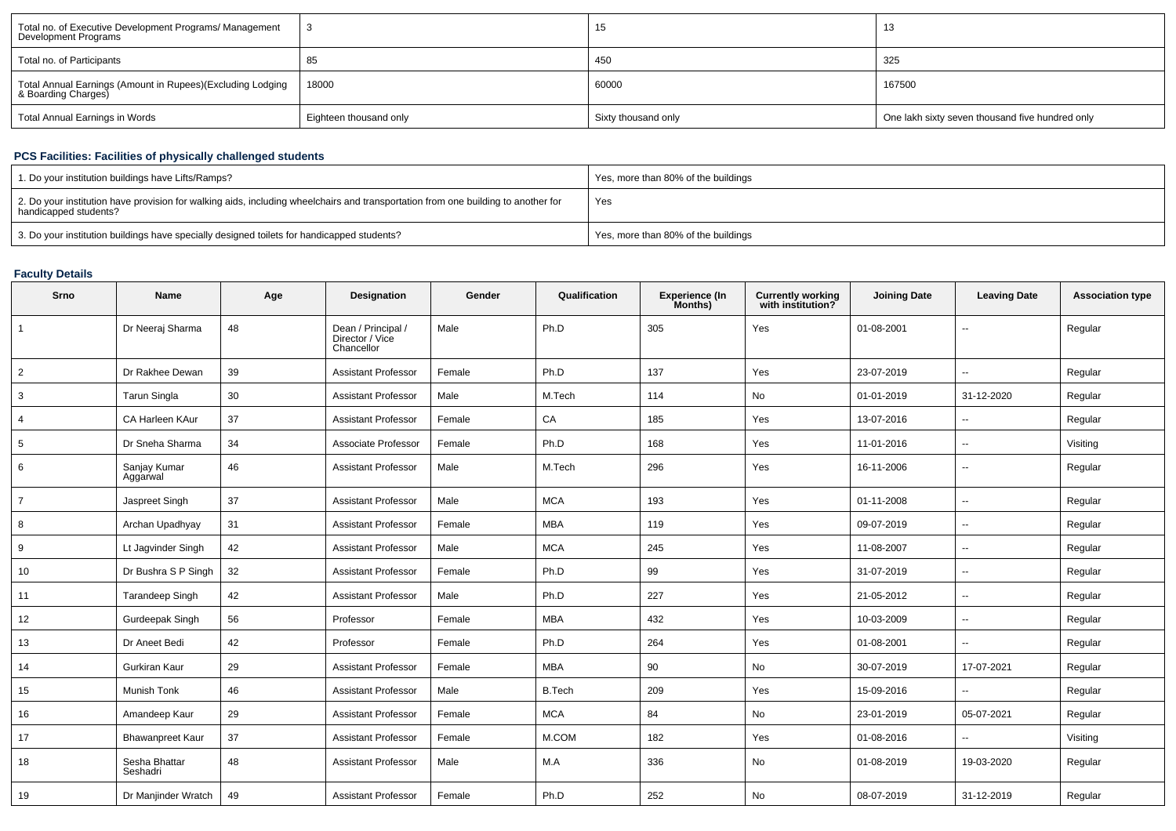| Total no. of Executive Development Programs/ Management<br>Development Programs   |                        | 15                  | ں ا                                             |
|-----------------------------------------------------------------------------------|------------------------|---------------------|-------------------------------------------------|
| Total no. of Participants                                                         | 85                     | 450                 | 325                                             |
| Total Annual Earnings (Amount in Rupees)(Excluding Lodging<br>& Boarding Charges) | 18000                  | 60000               | 167500                                          |
| Total Annual Earnings in Words                                                    | Eighteen thousand only | Sixty thousand only | One lakh sixty seven thousand five hundred only |

# **PCS Facilities: Facilities of physically challenged students**

| 1. Do your institution buildings have Lifts/Ramps?                                                                                                         | Yes, more than 80% of the buildings |
|------------------------------------------------------------------------------------------------------------------------------------------------------------|-------------------------------------|
| 2. Do your institution have provision for walking aids, including wheelchairs and transportation from one building to another for<br>handicapped students? | Yes                                 |
| 3. Do your institution buildings have specially designed toilets for handicapped students?                                                                 | Yes, more than 80% of the buildings |

# **Faculty Details**

| Srno           | Name                      | Age | <b>Designation</b>                                  | Gender | Qualification | <b>Experience (In</b><br>Months) | <b>Currently working</b><br>with institution? | <b>Joining Date</b> | <b>Leaving Date</b>      | <b>Association type</b> |
|----------------|---------------------------|-----|-----------------------------------------------------|--------|---------------|----------------------------------|-----------------------------------------------|---------------------|--------------------------|-------------------------|
|                | Dr Neeraj Sharma          | 48  | Dean / Principal /<br>Director / Vice<br>Chancellor | Male   | Ph.D          | 305                              | Yes                                           | 01-08-2001          |                          | Regular                 |
| $\overline{2}$ | Dr Rakhee Dewan           | 39  | <b>Assistant Professor</b>                          | Female | Ph.D          | 137                              | Yes                                           | 23-07-2019          | $\overline{\phantom{a}}$ | Regular                 |
| 3              | Tarun Singla              | 30  | <b>Assistant Professor</b>                          | Male   | M.Tech        | 114                              | No                                            | 01-01-2019          | 31-12-2020               | Regular                 |
| 4              | CA Harleen KAur           | 37  | <b>Assistant Professor</b>                          | Female | CA            | 185                              | Yes                                           | 13-07-2016          | $\overline{\phantom{a}}$ | Regular                 |
| 5              | Dr Sneha Sharma           | 34  | Associate Professor                                 | Female | Ph.D          | 168                              | Yes                                           | 11-01-2016          | $\overline{\phantom{a}}$ | Visiting                |
| 6              | Sanjay Kumar<br>Aggarwal  | 46  | <b>Assistant Professor</b>                          | Male   | M.Tech        | 296                              | Yes                                           | 16-11-2006          | $\overline{\phantom{a}}$ | Regular                 |
| $\overline{7}$ | Jaspreet Singh            | 37  | <b>Assistant Professor</b>                          | Male   | <b>MCA</b>    | 193                              | Yes                                           | 01-11-2008          | $\overline{\phantom{a}}$ | Regular                 |
| 8              | Archan Upadhyay           | 31  | <b>Assistant Professor</b>                          | Female | <b>MBA</b>    | 119                              | Yes                                           | 09-07-2019          | $\overline{\phantom{a}}$ | Regular                 |
| 9              | Lt Jagvinder Singh        | 42  | <b>Assistant Professor</b>                          | Male   | <b>MCA</b>    | 245                              | Yes                                           | 11-08-2007          | $\overline{\phantom{a}}$ | Regular                 |
| 10             | Dr Bushra S P Singh       | 32  | <b>Assistant Professor</b>                          | Female | Ph.D          | 99                               | Yes                                           | 31-07-2019          | $\sim$                   | Regular                 |
| 11             | <b>Tarandeep Singh</b>    | 42  | <b>Assistant Professor</b>                          | Male   | Ph.D          | 227                              | Yes                                           | 21-05-2012          | $\overline{\phantom{a}}$ | Regular                 |
| 12             | Gurdeepak Singh           | 56  | Professor                                           | Female | <b>MBA</b>    | 432                              | Yes                                           | 10-03-2009          | --                       | Regular                 |
| 13             | Dr Aneet Bedi             | 42  | Professor                                           | Female | Ph.D          | 264                              | Yes                                           | 01-08-2001          | $\overline{\phantom{a}}$ | Regular                 |
| 14             | Gurkiran Kaur             | 29  | <b>Assistant Professor</b>                          | Female | <b>MBA</b>    | 90                               | No                                            | 30-07-2019          | 17-07-2021               | Regular                 |
| 15             | <b>Munish Tonk</b>        | 46  | <b>Assistant Professor</b>                          | Male   | <b>B.Tech</b> | 209                              | Yes                                           | 15-09-2016          | $\sim$                   | Regular                 |
| 16             | Amandeep Kaur             | 29  | <b>Assistant Professor</b>                          | Female | <b>MCA</b>    | 84                               | No                                            | 23-01-2019          | 05-07-2021               | Regular                 |
| 17             | <b>Bhawanpreet Kaur</b>   | 37  | <b>Assistant Professor</b>                          | Female | M.COM         | 182                              | Yes                                           | 01-08-2016          | $\sim$                   | Visiting                |
| 18             | Sesha Bhattar<br>Seshadri | 48  | <b>Assistant Professor</b>                          | Male   | M.A           | 336                              | No                                            | 01-08-2019          | 19-03-2020               | Regular                 |
| 19             | Dr Manjinder Wratch       | 49  | <b>Assistant Professor</b>                          | Female | Ph.D          | 252                              | No                                            | 08-07-2019          | 31-12-2019               | Regular                 |